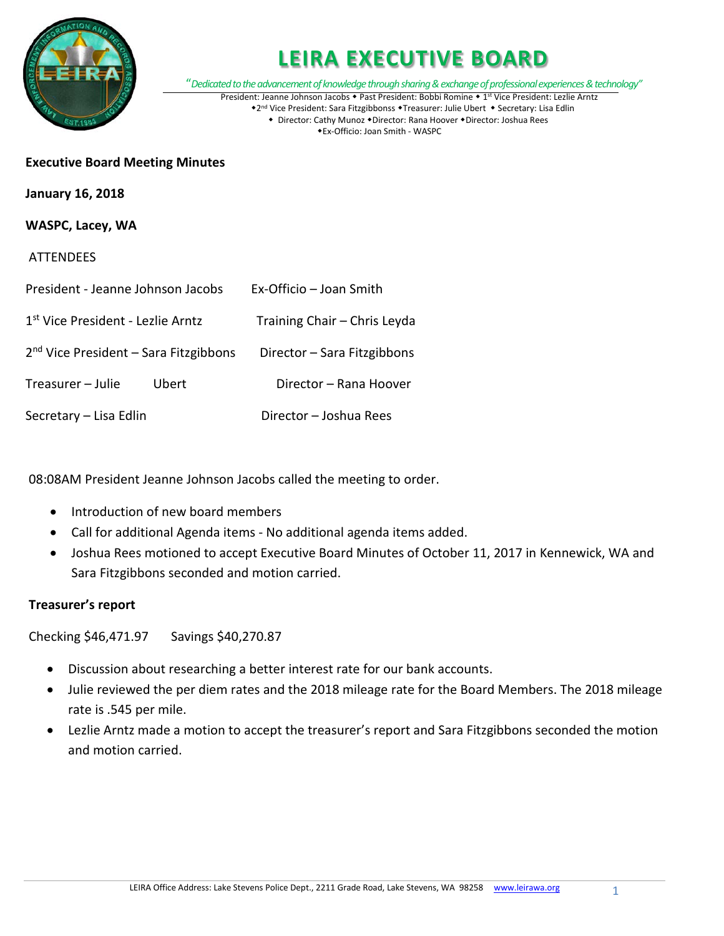

"*Dedicated to the advancement of knowledge through sharing & exchange of professional experiences & technology"* President: Jeanne Johnson Jacobs • Past President: Bobbi Romine • 1st Vice President: Lezlie Arntz

\*2<sup>nd</sup> Vice President: Sara Fitzgibbonss \*Treasurer: Julie Ubert \* Secretary: Lisa Edlin • Director: Cathy Munoz • Director: Rana Hoover • Director: Joshua Rees

Ex-Officio: Joan Smith - WASPC

#### **Executive Board Meeting Minutes**

**January 16, 2018**

#### **WASPC, Lacey, WA**

#### **ATTENDEES**

| President - Jeanne Johnson Jacobs       | Ex-Officio – Joan Smith      |
|-----------------------------------------|------------------------------|
| 1st Vice President - Lezlie Arntz       | Training Chair - Chris Leyda |
| $2nd$ Vice President – Sara Fitzgibbons | Director - Sara Fitzgibbons  |
| Treasurer - Julie<br>Ubert              | Director - Rana Hoover       |
| Secretary - Lisa Edlin                  | Director - Joshua Rees       |

08:08AM President Jeanne Johnson Jacobs called the meeting to order.

- Introduction of new board members
- Call for additional Agenda items No additional agenda items added.
- Joshua Rees motioned to accept Executive Board Minutes of October 11, 2017 in Kennewick, WA and Sara Fitzgibbons seconded and motion carried.

#### **Treasurer's report**

Checking \$46,471.97 Savings \$40,270.87

- Discussion about researching a better interest rate for our bank accounts.
- Julie reviewed the per diem rates and the 2018 mileage rate for the Board Members. The 2018 mileage rate is .545 per mile.
- Lezlie Arntz made a motion to accept the treasurer's report and Sara Fitzgibbons seconded the motion and motion carried.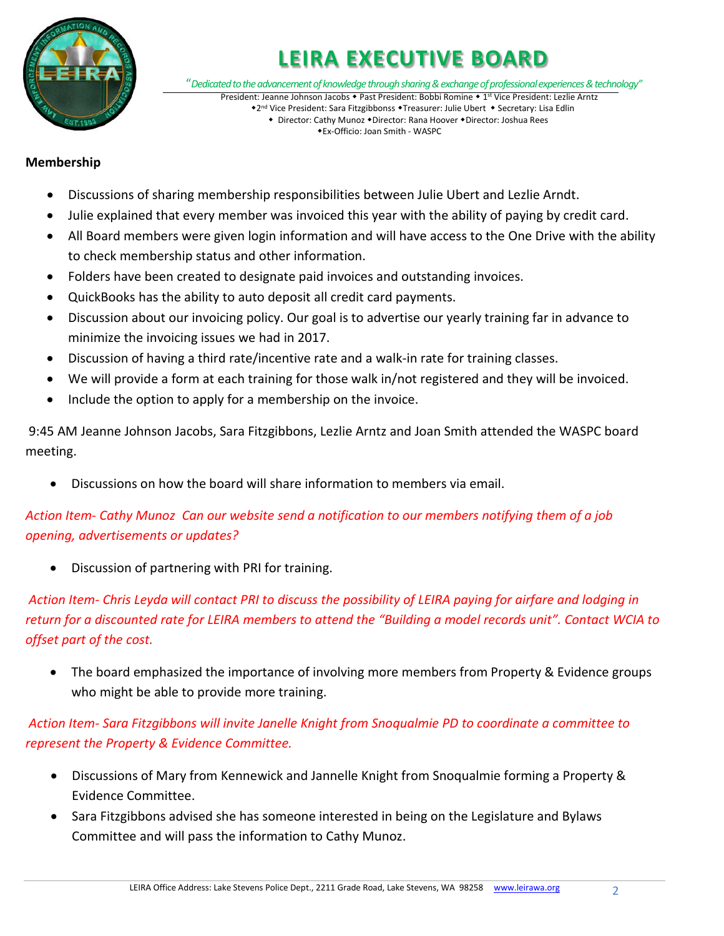

"*Dedicated to the advancement of knowledge through sharing & exchange of professional experiences & technology"*

President: Jeanne Johnson Jacobs • Past President: Bobbi Romine • 1st Vice President: Lezlie Arntz \*2<sup>nd</sup> Vice President: Sara Fitzgibbonss \*Treasurer: Julie Ubert \* Secretary: Lisa Edlin • Director: Cathy Munoz • Director: Rana Hoover • Director: Joshua Rees

Ex-Officio: Joan Smith - WASPC

#### **Membership**

- Discussions of sharing membership responsibilities between Julie Ubert and Lezlie Arndt.
- Julie explained that every member was invoiced this year with the ability of paying by credit card.
- All Board members were given login information and will have access to the One Drive with the ability to check membership status and other information.
- Folders have been created to designate paid invoices and outstanding invoices.
- QuickBooks has the ability to auto deposit all credit card payments.
- Discussion about our invoicing policy. Our goal is to advertise our yearly training far in advance to minimize the invoicing issues we had in 2017.
- Discussion of having a third rate/incentive rate and a walk-in rate for training classes.
- We will provide a form at each training for those walk in/not registered and they will be invoiced.
- Include the option to apply for a membership on the invoice.

9:45 AM Jeanne Johnson Jacobs, Sara Fitzgibbons, Lezlie Arntz and Joan Smith attended the WASPC board meeting.

• Discussions on how the board will share information to members via email.

### *Action Item- Cathy Munoz Can our website send a notification to our members notifying them of a job opening, advertisements or updates?*

• Discussion of partnering with PRI for training.

*Action Item- Chris Leyda will contact PRI to discuss the possibility of LEIRA paying for airfare and lodging in return for a discounted rate for LEIRA members to attend the "Building a model records unit". Contact WCIA to offset part of the cost.*

• The board emphasized the importance of involving more members from Property & Evidence groups who might be able to provide more training.

*Action Item- Sara Fitzgibbons will invite Janelle Knight from Snoqualmie PD to coordinate a committee to represent the Property & Evidence Committee.*

- Discussions of Mary from Kennewick and Jannelle Knight from Snoqualmie forming a Property & Evidence Committee.
- Sara Fitzgibbons advised she has someone interested in being on the Legislature and Bylaws Committee and will pass the information to Cathy Munoz.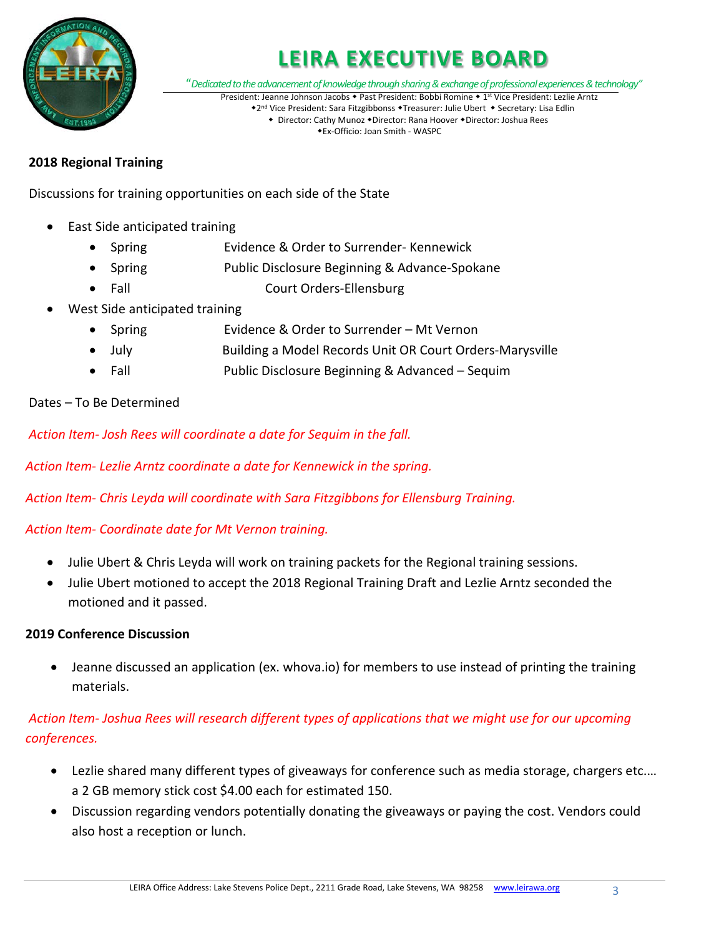

"*Dedicated to the advancement of knowledge through sharing & exchange of professional experiences & technology"*

President: Jeanne Johnson Jacobs • Past President: Bobbi Romine • 1st Vice President: Lezlie Arntz \*2<sup>nd</sup> Vice President: Sara Fitzgibbonss \*Treasurer: Julie Ubert \* Secretary: Lisa Edlin • Director: Cathy Munoz • Director: Rana Hoover • Director: Joshua Rees

Ex-Officio: Joan Smith - WASPC

#### **2018 Regional Training**

Discussions for training opportunities on each side of the State

- East Side anticipated training
	- Spring Evidence & Order to Surrender- Kennewick
	- Spring Public Disclosure Beginning & Advance-Spokane
	- Fall Court Orders-Ellensburg
- West Side anticipated training
	- Spring Evidence & Order to Surrender Mt Vernon
	- July Building a Model Records Unit OR Court Orders-Marysville
	- Fall Public Disclosure Beginning & Advanced Sequim

#### Dates – To Be Determined

*Action Item- Josh Rees will coordinate a date for Sequim in the fall.*

*Action Item- Lezlie Arntz coordinate a date for Kennewick in the spring.*

*Action Item- Chris Leyda will coordinate with Sara Fitzgibbons for Ellensburg Training.*

### *Action Item- Coordinate date for Mt Vernon training.*

- Julie Ubert & Chris Leyda will work on training packets for the Regional training sessions.
- Julie Ubert motioned to accept the 2018 Regional Training Draft and Lezlie Arntz seconded the motioned and it passed.

#### **2019 Conference Discussion**

• Jeanne discussed an application (ex. whova.io) for members to use instead of printing the training materials.

### *Action Item- Joshua Rees will research different types of applications that we might use for our upcoming conferences.*

- Lezlie shared many different types of giveaways for conference such as media storage, chargers etc.… a 2 GB memory stick cost \$4.00 each for estimated 150.
- Discussion regarding vendors potentially donating the giveaways or paying the cost. Vendors could also host a reception or lunch.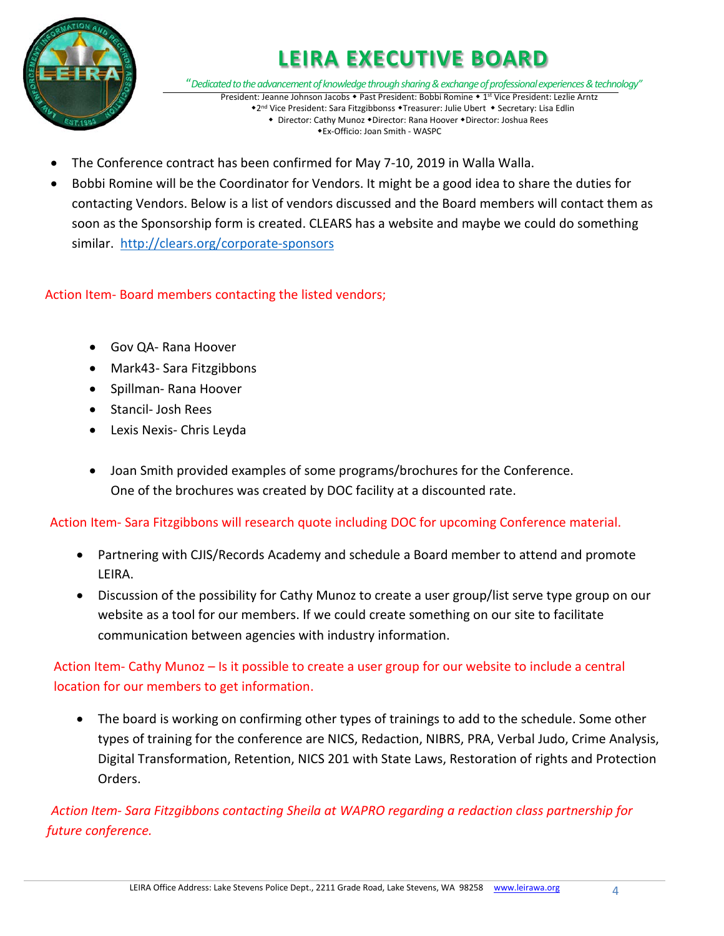

"*Dedicated to the advancement of knowledge through sharing & exchange of professional experiences & technology"* President: Jeanne Johnson Jacobs • Past President: Bobbi Romine • 1st Vice President: Lezlie Arntz

\*2<sup>nd</sup> Vice President: Sara Fitzgibbonss \*Treasurer: Julie Ubert \* Secretary: Lisa Edlin • Director: Cathy Munoz • Director: Rana Hoover • Director: Joshua Rees Ex-Officio: Joan Smith - WASPC

- The Conference contract has been confirmed for May 7-10, 2019 in Walla Walla.
- Bobbi Romine will be the Coordinator for Vendors. It might be a good idea to share the duties for contacting Vendors. Below is a list of vendors discussed and the Board members will contact them as soon as the Sponsorship form is created. CLEARS has a website and maybe we could do something similar. <http://clears.org/corporate-sponsors>

Action Item- Board members contacting the listed vendors;

- Gov QA- Rana Hoover
- Mark43- Sara Fitzgibbons
- Spillman- Rana Hoover
- Stancil- Josh Rees
- Lexis Nexis- Chris Leyda
- Joan Smith provided examples of some programs/brochures for the Conference. One of the brochures was created by DOC facility at a discounted rate.

Action Item- Sara Fitzgibbons will research quote including DOC for upcoming Conference material.

- Partnering with CJIS/Records Academy and schedule a Board member to attend and promote LEIRA.
- Discussion of the possibility for Cathy Munoz to create a user group/list serve type group on our website as a tool for our members. If we could create something on our site to facilitate communication between agencies with industry information.

Action Item- Cathy Munoz – Is it possible to create a user group for our website to include a central location for our members to get information.

• The board is working on confirming other types of trainings to add to the schedule. Some other types of training for the conference are NICS, Redaction, NIBRS, PRA, Verbal Judo, Crime Analysis, Digital Transformation, Retention, NICS 201 with State Laws, Restoration of rights and Protection Orders.

*Action Item- Sara Fitzgibbons contacting Sheila at WAPRO regarding a redaction class partnership for future conference.*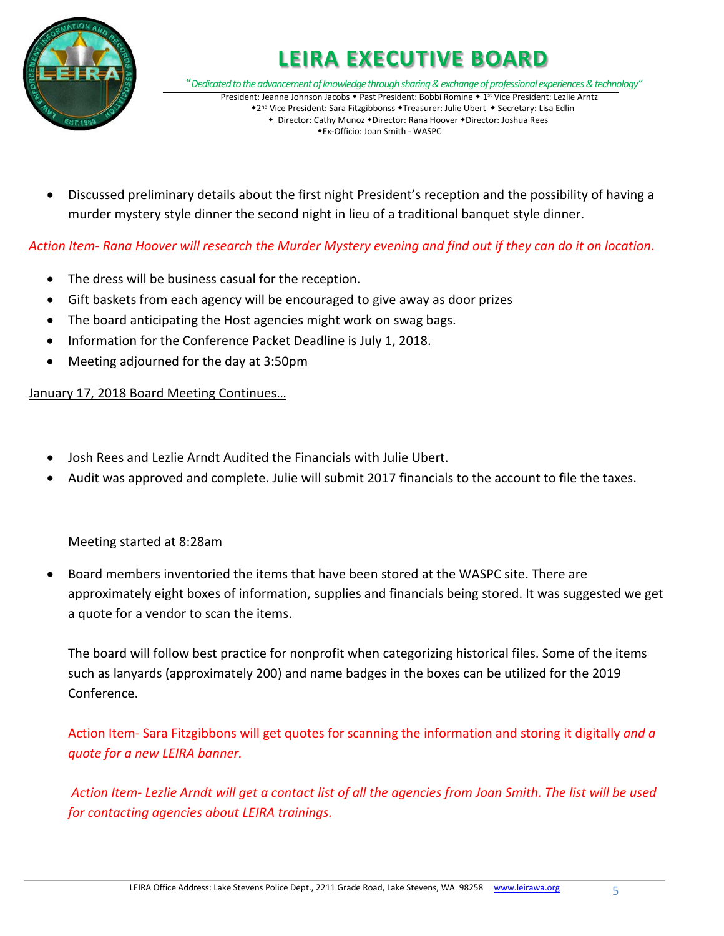

"*Dedicated to the advancement of knowledge through sharing & exchange of professional experiences & technology"* President: Jeanne Johnson Jacobs • Past President: Bobbi Romine • 1st Vice President: Lezlie Arntz \*2<sup>nd</sup> Vice President: Sara Fitzgibbonss \*Treasurer: Julie Ubert \* Secretary: Lisa Edlin

• Director: Cathy Munoz • Director: Rana Hoover • Director: Joshua Rees Ex-Officio: Joan Smith - WASPC

• Discussed preliminary details about the first night President's reception and the possibility of having a murder mystery style dinner the second night in lieu of a traditional banquet style dinner.

### *Action Item- Rana Hoover will research the Murder Mystery evening and find out if they can do it on location*.

- The dress will be business casual for the reception.
- Gift baskets from each agency will be encouraged to give away as door prizes
- The board anticipating the Host agencies might work on swag bags.
- Information for the Conference Packet Deadline is July 1, 2018.
- Meeting adjourned for the day at 3:50pm

#### January 17, 2018 Board Meeting Continues…

- Josh Rees and Lezlie Arndt Audited the Financials with Julie Ubert.
- Audit was approved and complete. Julie will submit 2017 financials to the account to file the taxes.

### Meeting started at 8:28am

• Board members inventoried the items that have been stored at the WASPC site. There are approximately eight boxes of information, supplies and financials being stored. It was suggested we get a quote for a vendor to scan the items.

The board will follow best practice for nonprofit when categorizing historical files. Some of the items such as lanyards (approximately 200) and name badges in the boxes can be utilized for the 2019 Conference.

Action Item- Sara Fitzgibbons will get quotes for scanning the information and storing it digitally *and a quote for a new LEIRA banner.*

*Action Item- Lezlie Arndt will get a contact list of all the agencies from Joan Smith. The list will be used for contacting agencies about LEIRA trainings.*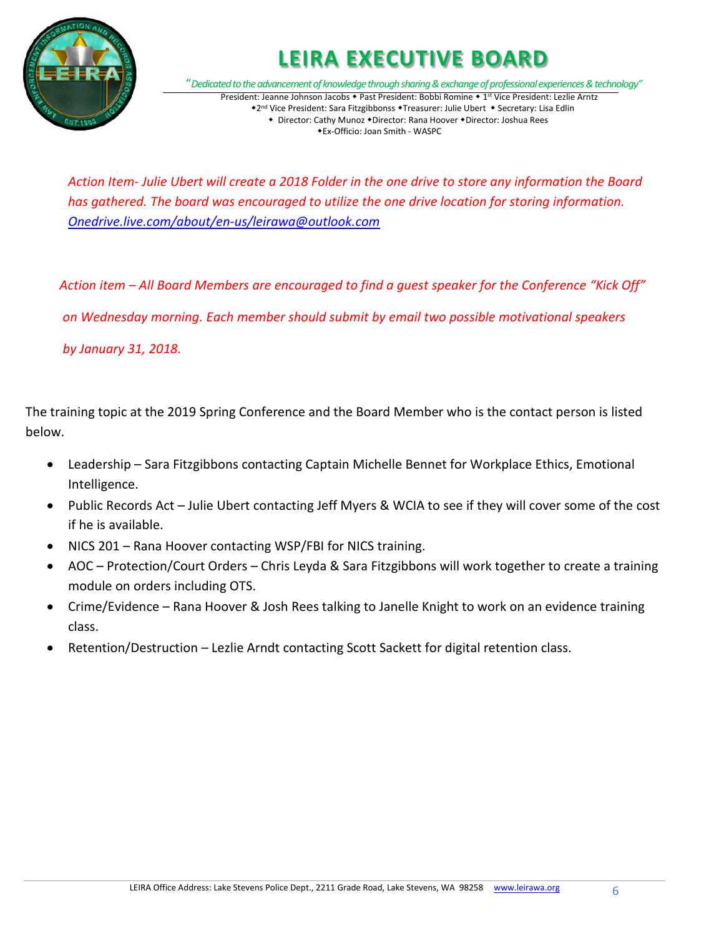

"*Dedicated to the advancement of knowledge through sharing & exchange of professional experiences & technology"* President: Jeanne Johnson Jacobs • Past President: Bobbi Romine • 1st Vice President: Lezlie Arntz \*2<sup>nd</sup> Vice President: Sara Fitzgibbonss \*Treasurer: Julie Ubert \* Secretary: Lisa Edlin

• Director: Cathy Munoz • Director: Rana Hoover • Director: Joshua Rees Ex-Officio: Joan Smith - WASPC

*Action Item- Julie Ubert will create a 2018 Folder in the one drive to store any information the Board has gathered. The board was encouraged to utilize the one drive location for storing information. [Onedrive.live.com/about/en-us/leirawa@outlook.com](mailto:Onedrive.live.com/about/en-us/leirawa@outlook.com)*

*Action item – All Board Members are encouraged to find a guest speaker for the Conference "Kick Off" on Wednesday morning. Each member should submit by email two possible motivational speakers*

*by January 31, 2018.*

The training topic at the 2019 Spring Conference and the Board Member who is the contact person is listed below.

- Leadership Sara Fitzgibbons contacting Captain Michelle Bennet for Workplace Ethics, Emotional Intelligence.
- Public Records Act Julie Ubert contacting Jeff Myers & WCIA to see if they will cover some of the cost if he is available.
- NICS 201 Rana Hoover contacting WSP/FBI for NICS training.
- AOC Protection/Court Orders Chris Leyda & Sara Fitzgibbons will work together to create a training module on orders including OTS.
- Crime/Evidence Rana Hoover & Josh Rees talking to Janelle Knight to work on an evidence training class.
- Retention/Destruction Lezlie Arndt contacting Scott Sackett for digital retention class.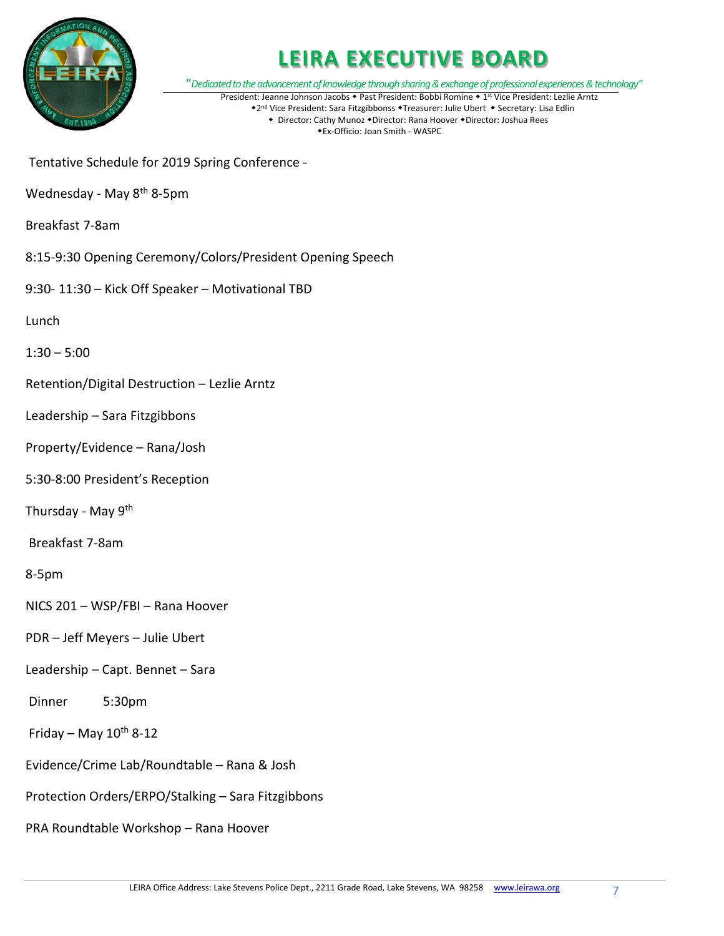

"*Dedicated to the advancement of knowledge through sharing & exchange of professional experiences & technology"* President: Jeanne Johnson Jacobs • Past President: Bobbi Romine • 1st Vice President: Lezlie Arntz \*2<sup>nd</sup> Vice President: Sara Fitzgibbonss \*Treasurer: Julie Ubert \* Secretary: Lisa Edlin

• Director: Cathy Munoz • Director: Rana Hoover • Director: Joshua Rees Ex-Officio: Joan Smith - WASPC

- Tentative Schedule for 2019 Spring Conference -
- Wednesday May 8<sup>th</sup> 8-5pm
- Breakfast 7-8am
- 8:15-9:30 Opening Ceremony/Colors/President Opening Speech
- 9:30- 11:30 Kick Off Speaker Motivational TBD
- Lunch
- $1:30 5:00$
- Retention/Digital Destruction Lezlie Arntz
- Leadership Sara Fitzgibbons
- Property/Evidence Rana/Josh
- 5:30-8:00 President's Reception
- Thursday May 9<sup>th</sup>
- Breakfast 7-8am
- 8-5pm
- NICS 201 WSP/FBI Rana Hoover
- PDR Jeff Meyers Julie Ubert
- Leadership Capt. Bennet Sara
- Dinner 5:30pm
- Friday May  $10^{th}$  8-12
- Evidence/Crime Lab/Roundtable Rana & Josh
- Protection Orders/ERPO/Stalking Sara Fitzgibbons
- PRA Roundtable Workshop Rana Hoover